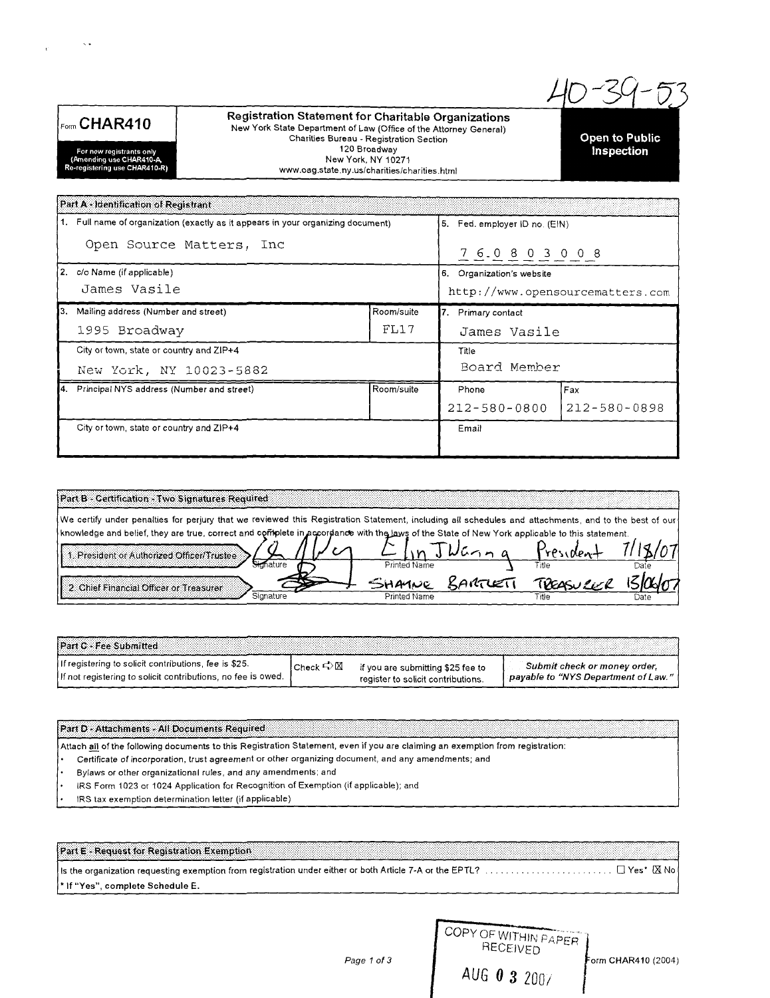$E_{\text{orm}}$  CHAR410

For new registrants only<br>(Amending use CHAR410-A,<br>Re-registering use CHAR410-R)

 $\sim$  .

 $\mathbb{R}^2$ 

Registration Statement for Charitable Organizations New York State Department of Law (Office of the Attorney General) Charities Bureau - Registration Section 120 Broadway New York, NY 10271 www.oag.state.ny.us/charities/charities.html

**Open to Public** Inspection

Fax

212-580-0898

Part A - Identification of Registrant 1. Full name of organization (exactly as it appears in your organizing document) 5. Fed. employer ID no. (EIN) Open Source Matters, Inc  $76.0803008$ 2. c/o Name (if applicable) 6. Organization's website James Vasile http://www.opensourcematters.com 3. Mailing address (Number and street) Room/suite 7. Primary contact 1995 Broadway  $FL17$ James Vasile City or town, state or country and ZIP+4 Title Board Member New York, NY 10023-5882

City or town, state or country and ZIP+4

4. Principal NYS address (Number and street)

| Printed Name | Title | Dat≀                                                                                                                                                                                                                                                                                                   |
|--------------|-------|--------------------------------------------------------------------------------------------------------------------------------------------------------------------------------------------------------------------------------------------------------------------------------------------------------|
|              |       |                                                                                                                                                                                                                                                                                                        |
| Printed Name | Title |                                                                                                                                                                                                                                                                                                        |
|              |       | We certify under penalties for perjury that we reviewed this Registration Statement, including all schedules and attachments, and to the best of our<br>knowledge and belief, they are true, correct and coffipiete in accordance with the laws of the State of New York applicable to this statement. |

Room/suite

Phone

Email

 $212 - 580 - 0800$ 

| <b>IPart C + Fee Submitted</b>                                                                                        |                               |                                    |                                                                     |
|-----------------------------------------------------------------------------------------------------------------------|-------------------------------|------------------------------------|---------------------------------------------------------------------|
| If registering to solicit contributions, fee is \$25.<br>If not registering to solicit contributions, no fee is owed. | Check $\Rightarrow \boxtimes$ | if you are submitting \$25 fee to  | Submit check or money order,<br>payable to "NYS Department of Law." |
|                                                                                                                       |                               | register to solicit contributions. |                                                                     |

Part D - Attachments - All Documents Required

Attach all of the following documents to this Registration Statement, even if you are claiming an exemption from registration:

Certificate of incorporation, trust agreement or other organizing document, and any amendments; and

Bylaws or other organizational rules, and any amendments; and

IRS Form 1023 or 1024 Application for Recognition of Exemption (if applicable); and

IRS tax exemption determination letter (if applicable)

Part E - Request for Registration Exemption \* If "Yes", complete Schedule E.

|              | RECEIVED | COPY OF WITHIN PAPER |
|--------------|----------|----------------------|
| AUG 0 3 2007 |          |                      |

Page 1 of 3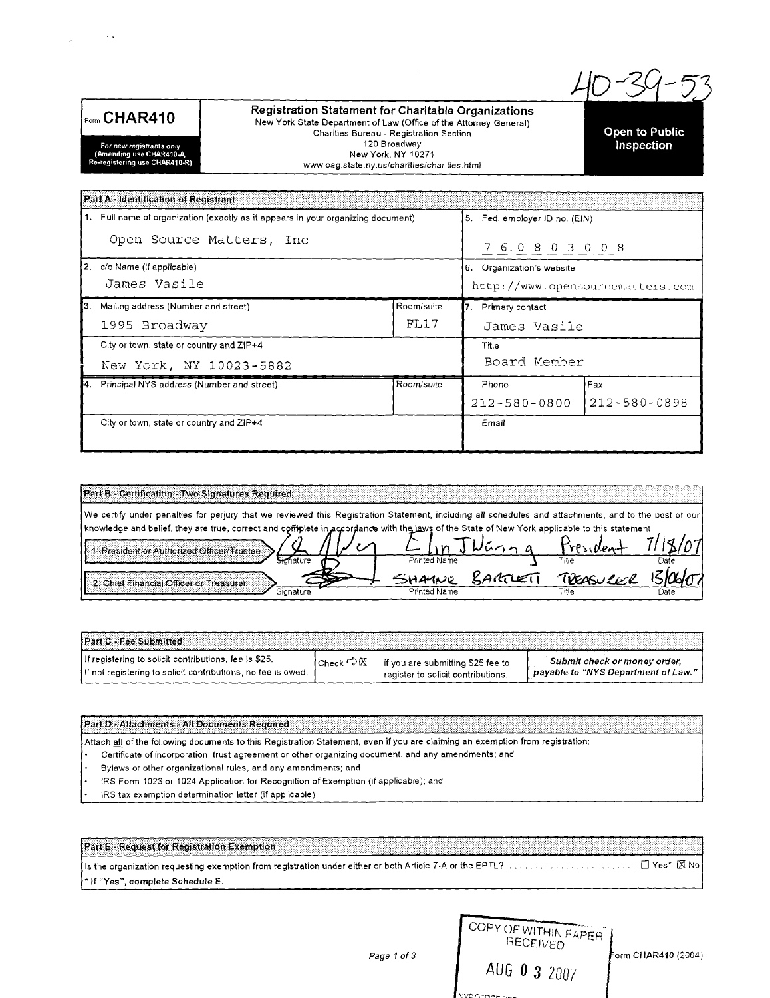

 $\bar{\lambda}$  .

 $\mathbf{r}$ 

**Registration Statement for Charitable Organizations** New York State Department of Law (Office of the Attorney General) Charities Bureau - Registration Section 120 Broadway New York, NY 10271 www.oag.state.ny.us/charities/charities.html

**Open to Public Inspection** 

**For** *new* **registrants only** (Amending use CHAR410-A Re-registering use CHAR410-R)

|                                          | Part A - Identification of Registrant                                            |                              |                                   |              |  |
|------------------------------------------|----------------------------------------------------------------------------------|------------------------------|-----------------------------------|--------------|--|
|                                          | 1. Full name of organization (exactly as it appears in your organizing document) |                              | Fed. employer ID no. (EIN)<br>15. |              |  |
| Open Source Matters, Inc.                |                                                                                  | 7 6 0 8 0 3 0 0 8            |                                   |              |  |
| 2. c/o Name (if applicable)              |                                                                                  | Organization's website<br>6. |                                   |              |  |
| James Vasile                             |                                                                                  |                              | http://www.opensourcematters.com  |              |  |
| IЗ.                                      | Mailing address (Number and street)<br>Room/suite                                |                              | 7. Primary contact                |              |  |
|                                          | FI.17<br>1995 Broadway                                                           |                              | James Vasile                      |              |  |
| City or town, state or country and ZIP+4 |                                                                                  | Title                        |                                   |              |  |
| New York, NY 10023-5882                  |                                                                                  | Board Member                 |                                   |              |  |
|                                          | 4. Principal NYS address (Number and street)                                     | Room/suite                   | Phone                             | Fax          |  |
|                                          |                                                                                  |                              | 212-580-0800                      | 212-580-0898 |  |
|                                          | City or town, state or country and ZIP+4                                         |                              | Email                             |              |  |
|                                          |                                                                                  |                              |                                   |              |  |

| Part B - Certification - Two Signatures Required                                                                                                                                                                                                                                                        |              |              |      |
|---------------------------------------------------------------------------------------------------------------------------------------------------------------------------------------------------------------------------------------------------------------------------------------------------------|--------------|--------------|------|
| [We certify under penalties for perjury that we reviewed this Registration Statement, including all schedules and attachments, and to the best of our<br>I knowledge and belief, they are true, correct and complete in accordance with the laws of the State of New York applicable to this statement. |              |              |      |
| 1. President or Authorized Officer/Trustee                                                                                                                                                                                                                                                              |              | <b>APSIN</b> |      |
| 2. Chief Financial Officer or Treasurer.                                                                                                                                                                                                                                                                | Printed Name | Title        | Date |
| Signature                                                                                                                                                                                                                                                                                               | Printed Name | `itle        | Jate |

| <b>Part C - Fee Submitted</b>                                |                           |                                    |                                     |
|--------------------------------------------------------------|---------------------------|------------------------------------|-------------------------------------|
| If registering to solicit contributions, fee is \$25.        | Check $\ominus \boxtimes$ | if you are submitting \$25 fee to  | Submit check or money order.        |
| If not registering to solicit contributions, no fee is owed. |                           | register to solicit contributions. | payable to "NYS Department of Law." |

Part D - Attachments - All Documents Required

Attach all of the following documents to this Registration Statement, even if you are claiming an exemption from registration:

Certificate of incorporation, trust agreement or other organizing document, and any amendments; and  $\bullet$  .

Bylaws or other organizational rules, and any amendments; and

IRS Form 1023 or 1024 Application for Recognition of Exemption (if applicable); and

IRS tax exemption determination ietter (if applicable)

Part E - Request for Registration Exemption Is the organization requesting exemption from registration under either or both Article 7-A or the EPTL? • If "Yes", complete Schedule E.

|    | COPY OF WITHIN PAPER<br>RECEIVED |                     |
|----|----------------------------------|---------------------|
| ٢3 | AUG 0 3 2007                     | Form CHAR410 (2004) |
|    |                                  |                     |

*Page* 1 *of 3*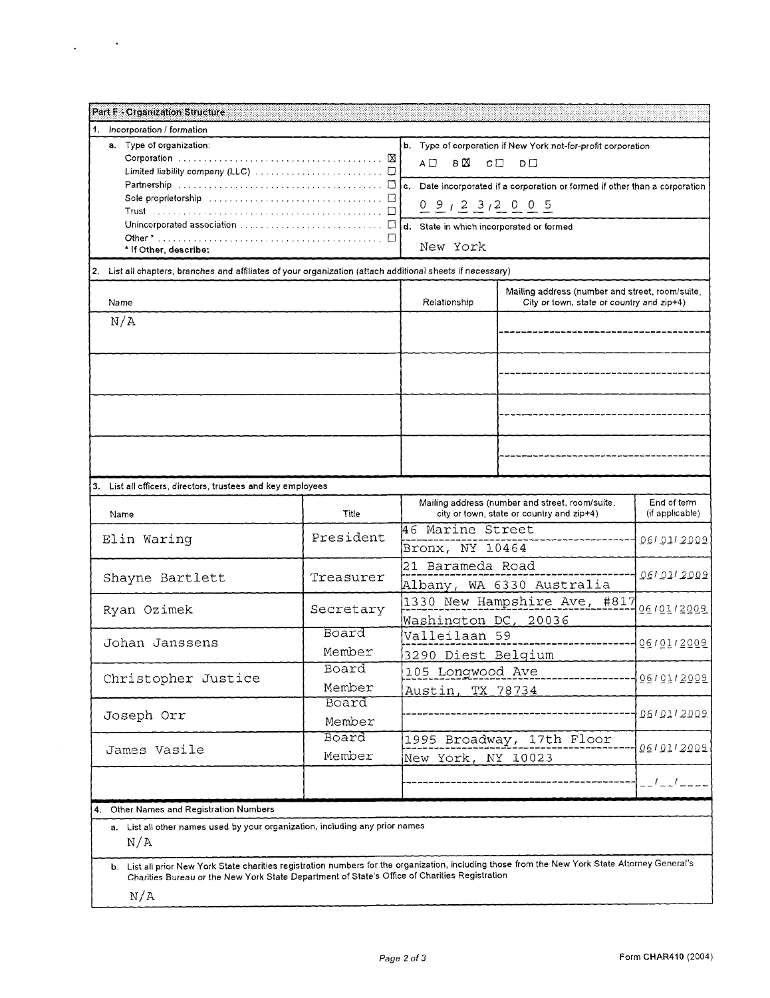| <b>Part F - Organization Structure</b>                                                                                                                                                                                                            |                              |                             |                                                               |                  |  |
|---------------------------------------------------------------------------------------------------------------------------------------------------------------------------------------------------------------------------------------------------|------------------------------|-----------------------------|---------------------------------------------------------------|------------------|--|
| 1.<br>Incorporation / formation                                                                                                                                                                                                                   |                              |                             |                                                               |                  |  |
| a. Type of organization:                                                                                                                                                                                                                          |                              |                             | b. Type of corporation if New York not-for-profit corporation |                  |  |
|                                                                                                                                                                                                                                                   |                              | в⊠<br>$C \Box$<br>A □<br>DП |                                                               |                  |  |
| Partnership $\ldots \ldots \ldots \ldots \ldots \ldots \ldots \ldots \ldots \square$ [c. Date incorporated if a corporation or formed if other than a corporation                                                                                 |                              |                             |                                                               |                  |  |
| Sole proprietorship $\ldots, \ldots, \ldots, \ldots, \ldots, \ldots, \ldots, \Box$                                                                                                                                                                |                              | $0.912312005$               |                                                               |                  |  |
|                                                                                                                                                                                                                                                   |                              |                             |                                                               |                  |  |
|                                                                                                                                                                                                                                                   |                              | New York                    |                                                               |                  |  |
| * If Other, describe:                                                                                                                                                                                                                             |                              |                             |                                                               |                  |  |
| 2. List all chapters, branches and affiliates of your organization (attach additional sheets if necessary)                                                                                                                                        |                              |                             |                                                               |                  |  |
|                                                                                                                                                                                                                                                   |                              |                             | Mailing address (number and street, room/suite,               |                  |  |
| Name                                                                                                                                                                                                                                              |                              | Relationship                | City or town, state or country and $zip+4$ )                  |                  |  |
| N/A                                                                                                                                                                                                                                               |                              |                             |                                                               |                  |  |
|                                                                                                                                                                                                                                                   |                              |                             |                                                               |                  |  |
|                                                                                                                                                                                                                                                   |                              |                             |                                                               |                  |  |
|                                                                                                                                                                                                                                                   |                              |                             |                                                               |                  |  |
|                                                                                                                                                                                                                                                   |                              |                             |                                                               |                  |  |
|                                                                                                                                                                                                                                                   |                              |                             |                                                               |                  |  |
|                                                                                                                                                                                                                                                   |                              |                             |                                                               |                  |  |
|                                                                                                                                                                                                                                                   |                              |                             |                                                               |                  |  |
|                                                                                                                                                                                                                                                   |                              |                             |                                                               |                  |  |
| 3. List all officers, directors, trustees and key employees                                                                                                                                                                                       |                              |                             |                                                               |                  |  |
|                                                                                                                                                                                                                                                   |                              |                             | Mailing address (number and street, room/suite,               | End of term      |  |
| Name                                                                                                                                                                                                                                              | Title                        |                             | city or town, state or country and zip+4)                     | (if applicable)  |  |
| Elin Waring                                                                                                                                                                                                                                       | President                    | 46 Marine Street            |                                                               | 06/01/2009       |  |
|                                                                                                                                                                                                                                                   |                              | Bronx, NY 10464             |                                                               |                  |  |
|                                                                                                                                                                                                                                                   | Treasurer                    | 21 Barameda Road            |                                                               | 061 011 2009     |  |
| Shayne Bartlett                                                                                                                                                                                                                                   |                              |                             | Albany, WA 6330 Australia                                     |                  |  |
| Ryan Ozimek                                                                                                                                                                                                                                       | Secretary                    |                             | 1330 New Hampshire Ave, #817                                  | 10010112009      |  |
|                                                                                                                                                                                                                                                   |                              | Washington DC, 20036        |                                                               |                  |  |
| Johan Janssens                                                                                                                                                                                                                                    | Board                        |                             |                                                               |                  |  |
|                                                                                                                                                                                                                                                   | Member                       | 3290 Diest Belgium          |                                                               |                  |  |
| Christopher Justice                                                                                                                                                                                                                               | Board                        | 105 Longwood Ave            |                                                               | 100101130031     |  |
|                                                                                                                                                                                                                                                   | Member                       | <u>Austin, TX 78734</u>     |                                                               |                  |  |
|                                                                                                                                                                                                                                                   | Board                        |                             |                                                               | 0610112002       |  |
| Joseph Orr                                                                                                                                                                                                                                        | Member                       |                             |                                                               |                  |  |
| Board                                                                                                                                                                                                                                             |                              |                             | 1995 Broadway, 17th Floor                                     | 06/01/2009       |  |
| James Vasile                                                                                                                                                                                                                                      | Member<br>New York, NY 10023 |                             |                                                               |                  |  |
|                                                                                                                                                                                                                                                   |                              |                             |                                                               | $-1 - 1 - 1 - 1$ |  |
|                                                                                                                                                                                                                                                   |                              |                             |                                                               |                  |  |
| 4. Other Names and Registration Numbers                                                                                                                                                                                                           |                              |                             |                                                               |                  |  |
| a. List all other names used by your organization, including any prior names<br>N/A                                                                                                                                                               |                              |                             |                                                               |                  |  |
| b. List all prior New York State charities registration numbers for the organization, including those from the New York State Attorney General's<br>Charities Bureau or the New York State Department of State's Office of Charities Registration |                              |                             |                                                               |                  |  |
| N/A                                                                                                                                                                                                                                               |                              |                             |                                                               |                  |  |

 $\Delta \phi = 0.001$